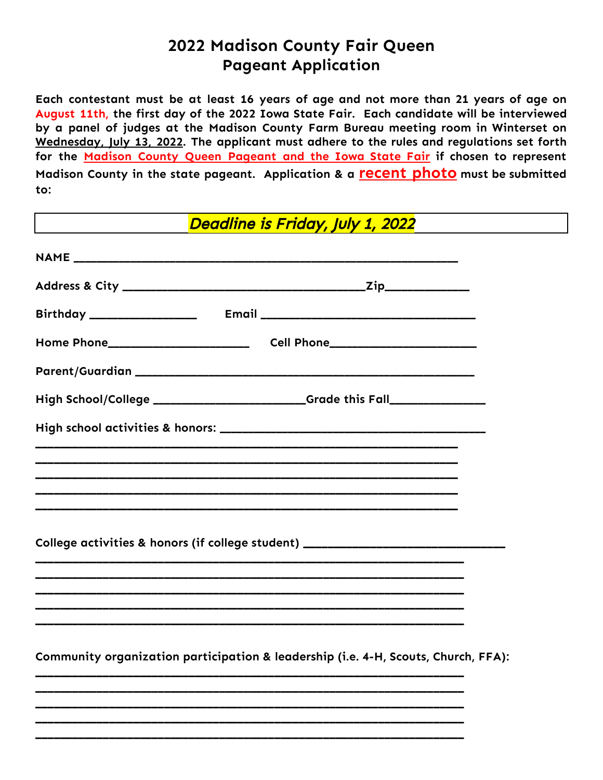## **2022 Madison County Fair Queen Pageant Application**

**Each contestant must be at least 16 years of age and not more than 21 years of age on August 11th, the first day of the 2022 Iowa State Fair. Each candidate will be interviewed by a panel of judges at the Madison County Farm Bureau meeting room in Winterset on Wednesday, July 13, 2022. The applicant must adhere to the rules and regulations set forth for the Madison County Queen Pageant and the Iowa State Fair if chosen to represent Madison County in the state pageant. Application & a recent photo must be submitted to:**

Deadline is Friday, July 1, 2022

| High School/College __________________________Grade this Fall___________________   |  |
|------------------------------------------------------------------------------------|--|
|                                                                                    |  |
|                                                                                    |  |
|                                                                                    |  |
|                                                                                    |  |
| College activities & honors (if college student) _______________________________   |  |
|                                                                                    |  |
|                                                                                    |  |
|                                                                                    |  |
| Community organization participation & leadership (i.e. 4-H, Scouts, Church, FFA): |  |
|                                                                                    |  |
|                                                                                    |  |

**\_\_\_\_\_\_\_\_\_\_\_\_\_\_\_\_\_\_\_\_\_\_\_\_\_\_\_\_\_\_\_\_\_\_\_\_\_\_\_\_\_\_\_\_\_\_\_\_\_\_\_\_\_\_\_\_\_\_\_\_\_\_\_\_\_\_\_\_\_\_ \_\_\_\_\_\_\_\_\_\_\_\_\_\_\_\_\_\_\_\_\_\_\_\_\_\_\_\_\_\_\_\_\_\_\_\_\_\_\_\_\_\_\_\_\_\_\_\_\_\_\_\_\_\_\_\_\_\_\_\_\_\_\_\_\_\_\_\_\_\_**